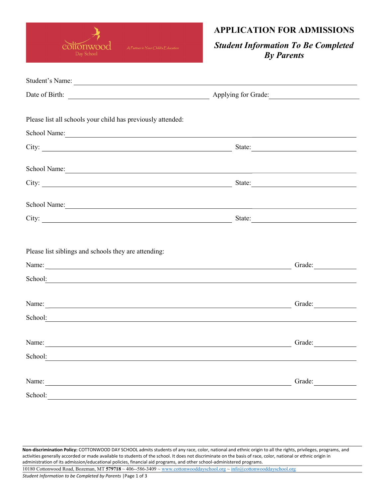

## APPLICATION FOR ADMISSIONS

## Student Information To Be Completed By Parents

| Student's Name:                                                                                                                                                                                                                |        |
|--------------------------------------------------------------------------------------------------------------------------------------------------------------------------------------------------------------------------------|--------|
| Date of Birth: <u>New York: Applying for Grade:</u>                                                                                                                                                                            |        |
|                                                                                                                                                                                                                                |        |
| Please list all schools your child has previously attended:                                                                                                                                                                    |        |
| School Name: Name and School Name and School Name and School Name and School Name and School Name and School Name and School Name and School Name and School Name and School Name and School Name and School Name and School N |        |
|                                                                                                                                                                                                                                |        |
| School Name: New York: New York: New York: New York: New York: New York: New York: New York: New York: New York: New York: New York: New York: New York: New York: New York: New York: New York: New York: New York: New York: |        |
|                                                                                                                                                                                                                                |        |
| School Name: Name and School Name and School Name and School Name and School Name and School Name and School Name and School Name and School Name and School Name and School Name and School Name and School Name and School N |        |
|                                                                                                                                                                                                                                |        |
|                                                                                                                                                                                                                                |        |
| Please list siblings and schools they are attending:                                                                                                                                                                           |        |
| Name:                                                                                                                                                                                                                          | Grade: |
| School: Example 2014 and 2015 and 2016 and 2016 and 2017 and 2018 and 2017 and 2018 and 2018 and 201                                                                                                                           |        |
| Name: Name and the set of the set of the set of the set of the set of the set of the set of the set of the set of the set of the set of the set of the set of the set of the set of the set of the set of the set of the set o | Grade: |
| School: Example 2014 and 2015 and 2016 and 2016 and 2017 and 2018 and 2017 and 2018 and 2018 and 201                                                                                                                           |        |
|                                                                                                                                                                                                                                |        |
| Name:                                                                                                                                                                                                                          | Grade: |
| School: Example 2014 and 2015 and 2016 and 2016 and 2017 and 2018 and 2017 and 2018 and 2018 and 201                                                                                                                           |        |
| Name:                                                                                                                                                                                                                          | Grade: |
| School:                                                                                                                                                                                                                        |        |

Non-discrimination Policy: COTTONWOOD DAY SCHOOL admits students of any race, color, national and ethnic origin to all the rights, privileges, programs, and activities generally accorded or made available to students of the school. It does not discriminate on the basis of race, color, national or ethnic origin in administration of its admission/educational policies, financial aid programs, and other school-administered programs. 10180 Cottonwood Road, Bozeman, MT 579718 ~ 406-‐586-3409 ~ www.cottonwooddayschool.org ~ info@cottonwooddayschool.org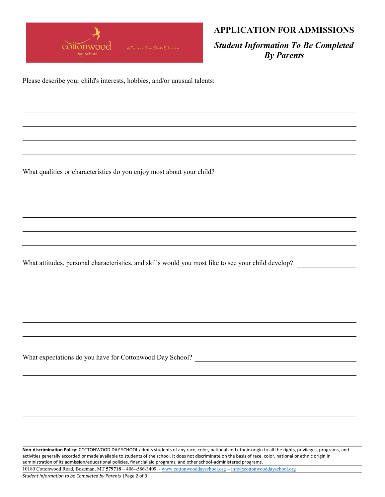

## APPLICATION FOR ADMISSIONS

Student Information To Be Completed By Parents

<u> 1989 - Johann Stoff, deutscher Stoffen und der Stoffen und der Stoffen und der Stoffen und der Stoffen und der</u>

Please describe your child's interests, hobbies, and/or unusual talents:

What qualities or characteristics do you enjoy most about your child?

What attitudes, personal characteristics, and skills would you most like to see your child develop?

What expectations do you have for Cottonwood Day School?

Non-discrimination Policy: COTTONWOOD DAY SCHOOL admits students of any race, color, national and ethnic origin to all the rights, privileges, programs, and activities generally accorded or made available to students of the school. It does not discriminate on the basis of race, color, national or ethnic origin in administration of its admission/educational policies, financial aid programs, and other school-administered programs.

10180 Cottonwood Road, Bozeman, MT 579718 ~ 406-‐586-3409 ~ www.cottonwooddayschool.org ~ info@cottonwooddayschool.org